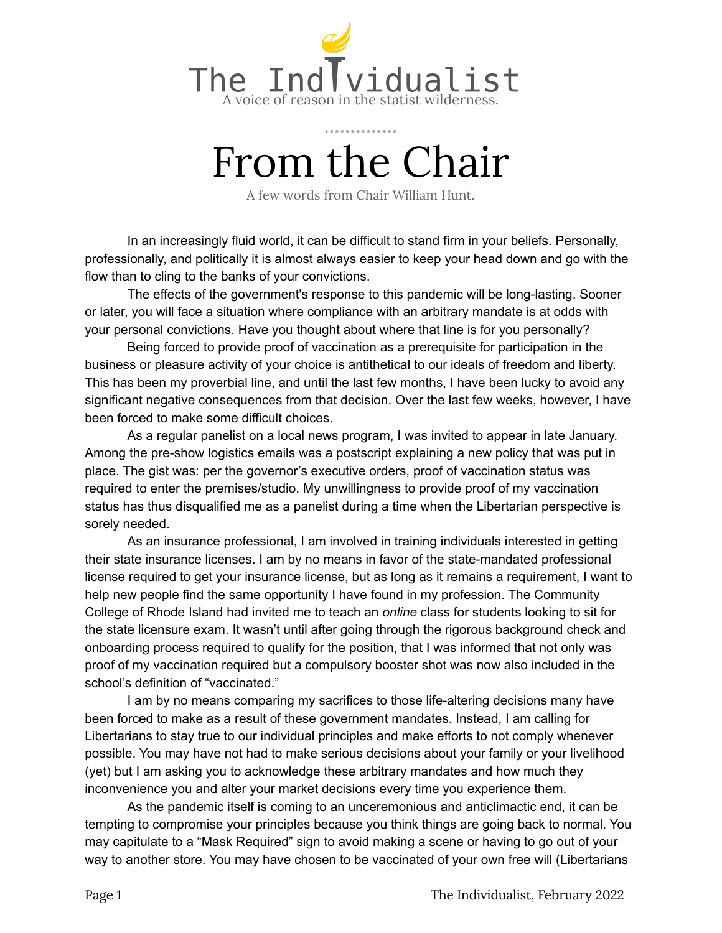

## From the Chair

A few words from Chair William Hunt.

In an increasingly fluid world, it can be difficult to stand firm in your beliefs. Personally, professionally, and politically it is almost always easier to keep your head down and go with the flow than to cling to the banks of your convictions.

The effects of the government's response to this pandemic will be long-lasting. Sooner or later, you will face a situation where compliance with an arbitrary mandate is at odds with your personal convictions. Have you thought about where that line is for you personally?

Being forced to provide proof of vaccination as a prerequisite for participation in the business or pleasure activity of your choice is antithetical to our ideals of freedom and liberty. This has been my proverbial line, and until the last few months, I have been lucky to avoid any significant negative consequences from that decision. Over the last few weeks, however, I have been forced to make some difficult choices.

As a regular panelist on a local news program, I was invited to appear in late January. Among the pre-show logistics emails was a postscript explaining a new policy that was put in place. The gist was: per the governor's executive orders, proof of vaccination status was required to enter the premises/studio. My unwillingness to provide proof of my vaccination status has thus disqualified me as a panelist during a time when the Libertarian perspective is sorely needed.

As an insurance professional, I am involved in training individuals interested in getting their state insurance licenses. I am by no means in favor of the state-mandated professional license required to get your insurance license, but as long as it remains a requirement, I want to help new people find the same opportunity I have found in my profession. The Community College of Rhode Island had invited me to teach an *online* class for students looking to sit for the state licensure exam. It wasn't until after going through the rigorous background check and onboarding process required to qualify for the position, that I was informed that not only was proof of my vaccination required but a compulsory booster shot was now also included in the school's definition of "vaccinated."

I am by no means comparing my sacrifices to those life-altering decisions many have been forced to make as a result of these government mandates. Instead, I am calling for Libertarians to stay true to our individual principles and make efforts to not comply whenever possible. You may have not had to make serious decisions about your family or your livelihood (yet) but I am asking you to acknowledge these arbitrary mandates and how much they inconvenience you and alter your market decisions every time you experience them.

As the pandemic itself is coming to an unceremonious and anticlimactic end, it can be tempting to compromise your principles because you think things are going back to normal. You may capitulate to a "Mask Required" sign to avoid making a scene or having to go out of your way to another store. You may have chosen to be vaccinated of your own free will (Libertarians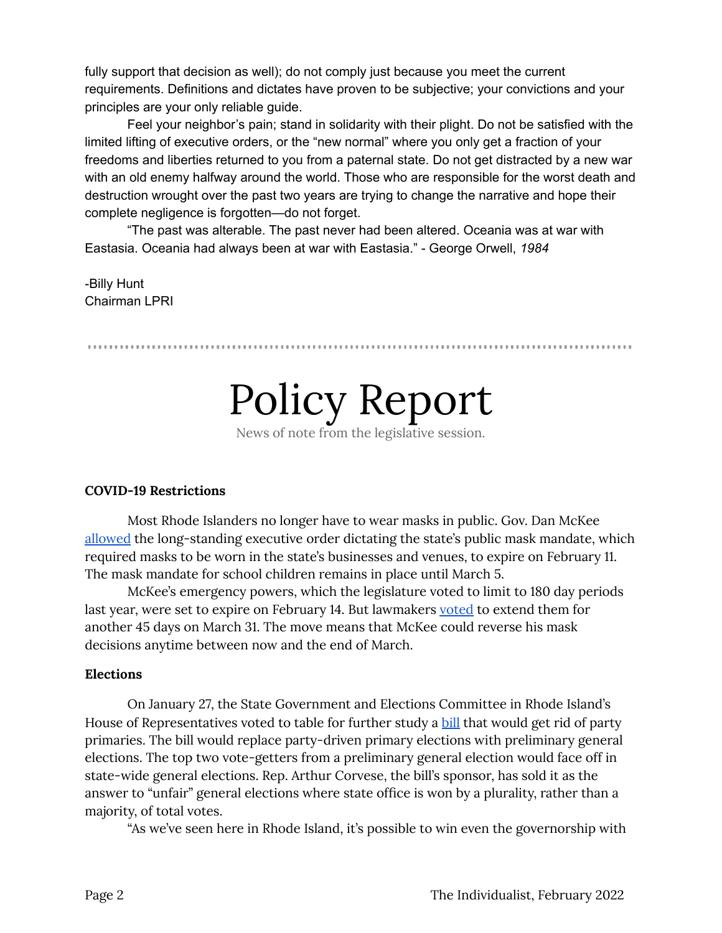fully support that decision as well); do not comply just because you meet the current requirements. Definitions and dictates have proven to be subjective; your convictions and your principles are your only reliable guide.

Feel your neighbor's pain; stand in solidarity with their plight. Do not be satisfied with the limited lifting of executive orders, or the "new normal" where you only get a fraction of your freedoms and liberties returned to you from a paternal state. Do not get distracted by a new war with an old enemy halfway around the world. Those who are responsible for the worst death and destruction wrought over the past two years are trying to change the narrative and hope their complete negligence is forgotten—do not forget.

"The past was alterable. The past never had been altered. Oceania was at war with Eastasia. Oceania had always been at war with Eastasia." - George Orwell, *1984*

-Billy Hunt Chairman LPRI

Policy Report

News of note from the legislative session.

### **COVID-19 Restrictions**

Most Rhode Islanders no longer have to wear masks in public. Gov. Dan McKee [allowed](https://governor.ri.gov/press-releases/governor-mckee-ridoh-announce-plan-lift-statewide-school-mask-mandate-and-allow) the long-standing executive order dictating the state's public mask mandate, which required masks to be worn in the state's businesses and venues, to expire on February 11. The mask mandate for school children remains in place until March 5.

McKee's emergency powers, which the legislature voted to limit to 180 day periods last year, were set to expire on February 14. But lawmakers [voted](https://www.wpri.com/news/politics-government/ri-lawmakers-extend-mckees-emergency-power-for-45-more-days/) to extend them for another 45 days on March 31. The move means that McKee could reverse his mask decisions anytime between now and the end of March.

### **Elections**

On January 27, the State Government and Elections Committee in Rhode Island's House of Representatives voted to table for further study a **[bill](https://legiscan.com/RI/bill/H6622/2022)** that would get rid of party primaries. The bill would replace party-driven primary elections with preliminary general elections. The top two vote-getters from a preliminary general election would face off in state-wide general elections. Rep. Arthur Corvese, the bill's sponsor, has sold it as the answer to "unfair" general elections where state office is won by a plurality, rather than a majority, of total votes.

"As we've seen here in Rhode Island, it's possible to win even the governorship with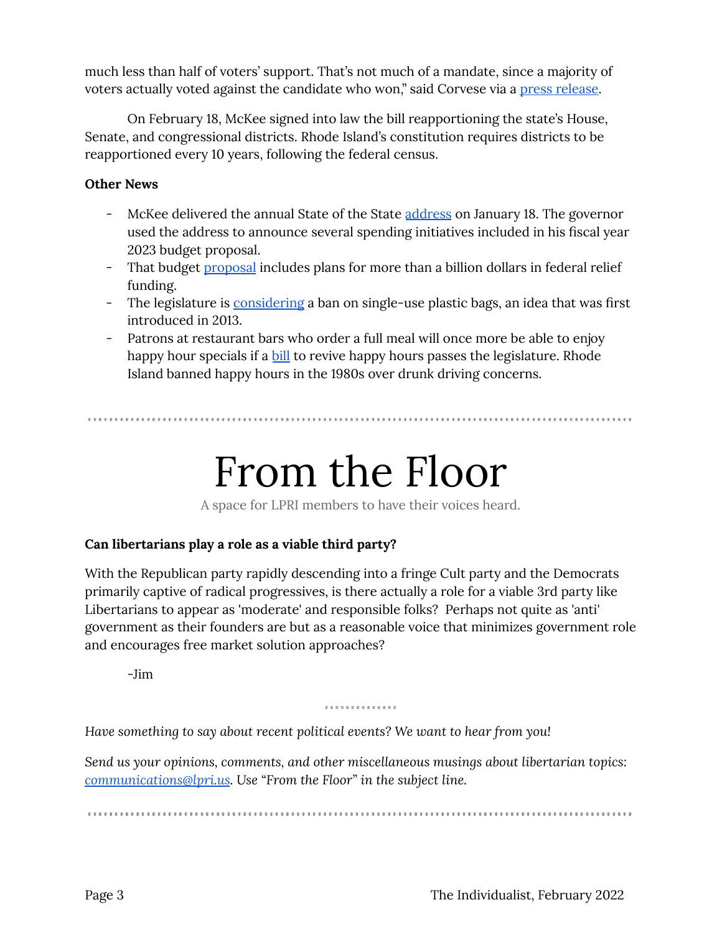much less than half of voters' support. That's not much of a mandate, since a majority of voters actually voted against the candidate who won," said Corvese via a press [release.](https://www.rilegislature.gov/pressrelease/_layouts/RIL.PressRelease.ListStructure/Forms/DisplayForm.aspx?List=c8baae31%2D3c10%2D431c%2D8dcd%2D9dbbe21ce3e9&ID=372289&Web=2bab1515%2D0dcc%2D4176%2Da2f8%2D8d4beebdf488)

On February 18, McKee signed into law the bill reapportioning the state's House, Senate, and congressional districts. Rhode Island's constitution requires districts to be reapportioned every 10 years, following the federal census.

## **Other News**

- McKee delivered the annual State of the State [address](https://governor.ri.gov/press-releases/governor-daniel-j-mckees-state-state-address) on January 18. The governor used the address to announce several spending initiatives included in his fiscal year 2023 budget proposal.
- That budget [proposal](https://www.wpri.com/target-12/gov-mckee-unveils-12-8b-state-budget-for-upcoming-fiscal-year/) includes plans for more than a billion dollars in federal relief funding.
- The legislature is [considering](https://www.providencejournal.com/story/news/local/2022/01/30/ban-plastic-bags-back-table-ri-legislature/9256865002/) a ban on single-use plastic bags, an idea that was first introduced in 2013.
- Patrons at restaurant bars who order a full meal will once more be able to enjoy happy hour specials if a **[bill](https://www.wpri.com/news/politics/ri-lawmakers-to-consider-bill-bringing-back-happy-hour/)** to revive happy hours passes the legislature. Rhode Island banned happy hours in the 1980s over drunk driving concerns.

From the Floor

A space for LPRI members to have their voices heard.

## **Can libertarians play a role as a viable third party?**

With the Republican party rapidly descending into a fringe Cult party and the Democrats primarily captive of radical progressives, is there actually a role for a viable 3rd party like Libertarians to appear as 'moderate' and responsible folks? Perhaps not quite as 'anti' government as their founders are but as a reasonable voice that minimizes government role and encourages free market solution approaches?

-Jim

### .............

*Have something to say about recent political events? We want to hear from you!*

*Send us your opinions, comments, and other miscellaneous musings about libertarian topics: [communications@lpri.us](mailto:communications@lpri.us). Use "From the Floor" in the subject line.*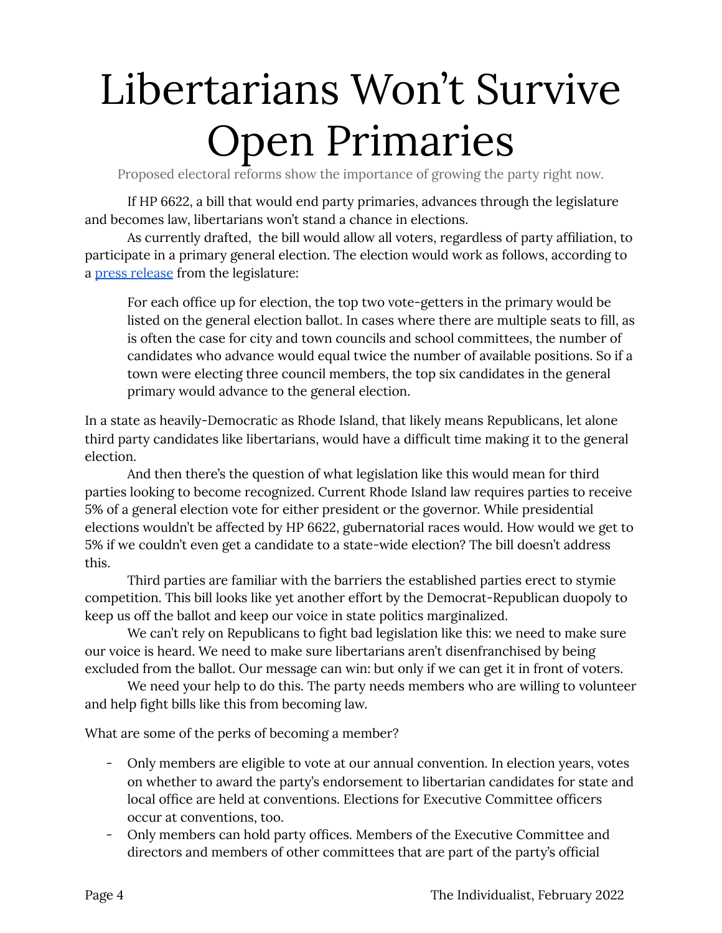# Libertarians Won't Survive Open Primaries

Proposed electoral reforms show the importance of growing the party right now.

If HP 6622, a bill that would end party primaries, advances through the legislature and becomes law, libertarians won't stand a chance in elections.

As currently drafted, the bill would allow all voters, regardless of party affiliation, to participate in a primary general election. The election would work as follows, according to a press [release](https://www.rilegislature.gov/pressrelease/_layouts/RIL.PressRelease.ListStructure/Forms/DisplayForm.aspx?List=c8baae31%2D3c10%2D431c%2D8dcd%2D9dbbe21ce3e9&ID=372289&Web=2bab1515%2D0dcc%2D4176%2Da2f8%2D8d4beebdf488) from the legislature:

For each office up for election, the top two vote-getters in the primary would be listed on the general election ballot. In cases where there are multiple seats to fill, as is often the case for city and town councils and school committees, the number of candidates who advance would equal twice the number of available positions. So if a town were electing three council members, the top six candidates in the general primary would advance to the general election.

In a state as heavily-Democratic as Rhode Island, that likely means Republicans, let alone third party candidates like libertarians, would have a difficult time making it to the general election.

And then there's the question of what legislation like this would mean for third parties looking to become recognized. Current Rhode Island law requires parties to receive 5% of a general election vote for either president or the governor. While presidential elections wouldn't be affected by HP 6622, gubernatorial races would. How would we get to 5% if we couldn't even get a candidate to a state-wide election? The bill doesn't address this.

Third parties are familiar with the barriers the established parties erect to stymie competition. This bill looks like yet another effort by the Democrat-Republican duopoly to keep us off the ballot and keep our voice in state politics marginalized.

We can't rely on Republicans to fight bad legislation like this: we need to make sure our voice is heard. We need to make sure libertarians aren't disenfranchised by being excluded from the ballot. Our message can win: but only if we can get it in front of voters.

We need your help to do this. The party needs members who are willing to volunteer and help fight bills like this from becoming law.

What are some of the perks of becoming a member?

- Only members are eligible to vote at our annual convention. In election years, votes on whether to award the party's endorsement to libertarian candidates for state and local office are held at conventions. Elections for Executive Committee officers occur at conventions, too.
- Only members can hold party offices. Members of the Executive Committee and directors and members of other committees that are part of the party's official